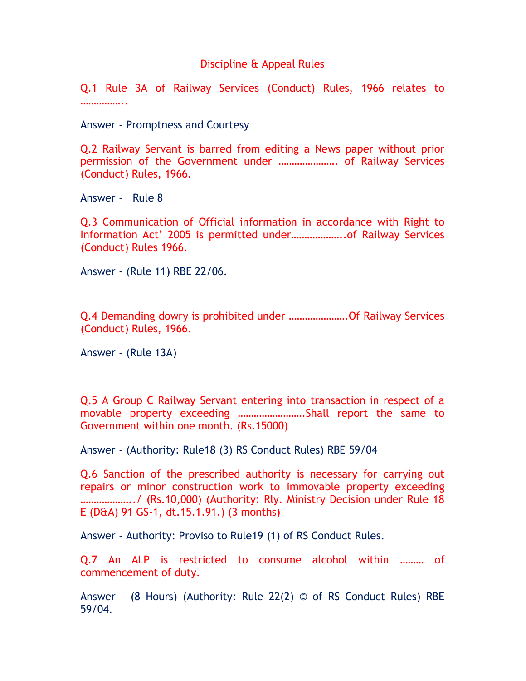### Discipline & Appeal Rules

Q.1 Rule 3A of Railway Services (Conduct) Rules, 1966 relates to ………………

Answer - Promptness and Courtesy

Q.2 Railway Servant is barred from editing a News paper without prior permission of the Government under …………………. of Railway Services (Conduct) Rules, 1966.

Answer - Rule 8

Q.3 Communication of Official information in accordance with Right to Information Act' 2005 is permitted under………………..of Railway Services (Conduct) Rules 1966.

Answer - (Rule 11) RBE 22/06.

Q.4 Demanding dowry is prohibited under ………………….Of Railway Services (Conduct) Rules, 1966.

Answer - (Rule 13A)

Q.5 A Group C Railway Servant entering into transaction in respect of a movable property exceeding …………………….Shall report the same to Government within one month. (Rs.15000)

Answer - (Authority: Rule18 (3) RS Conduct Rules) RBE 59/04

Q.6 Sanction of the prescribed authority is necessary for carrying out repairs or minor construction work to immovable property exceeding ………………../ (Rs.10,000) (Authority: Rly. Ministry Decision under Rule 18 E (D&A) 91 GS-1, dt.15.1.91.) (3 months)

Answer - Authority: Proviso to Rule19 (1) of RS Conduct Rules.

Q.7 An ALP is restricted to consume alcohol within ……… of commencement of duty.

Answer - (8 Hours) (Authority: Rule 22(2) © of RS Conduct Rules) RBE 59/04.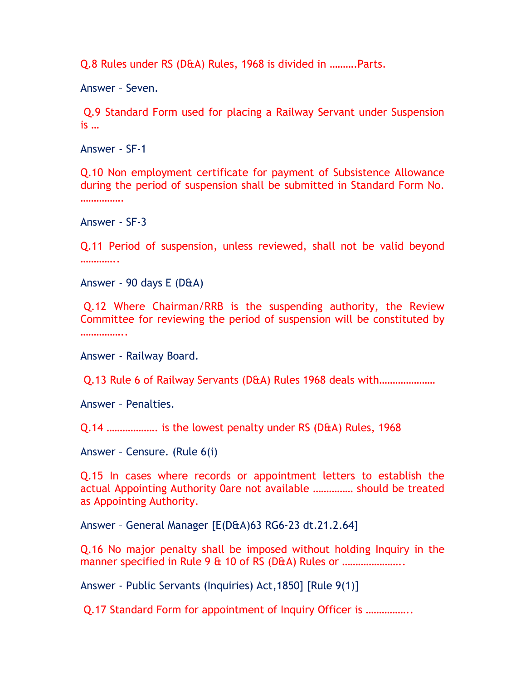Q.8 Rules under RS (D&A) Rules, 1968 is divided in ……….Parts.

Answer – Seven.

 Q.9 Standard Form used for placing a Railway Servant under Suspension is …

Answer - SF-1

Q.10 Non employment certificate for payment of Subsistence Allowance during the period of suspension shall be submitted in Standard Form No. ……………

Answer - SF-3

Q.11 Period of suspension, unless reviewed, shall not be valid beyond ……………

Answer - 90 days E (D&A)

 Q.12 Where Chairman/RRB is the suspending authority, the Review Committee for reviewing the period of suspension will be constituted by ………………

Answer - Railway Board.

Q.13 Rule 6 of Railway Servants (D&A) Rules 1968 deals with…………………

Answer – Penalties.

Q.14 ………………. is the lowest penalty under RS (D&A) Rules, 1968

Answer – Censure. (Rule 6(i)

Q.15 In cases where records or appointment letters to establish the actual Appointing Authority 0are not available …………… should be treated as Appointing Authority.

Answer – General Manager [E(D&A)63 RG6-23 dt.21.2.64]

Q.16 No major penalty shall be imposed without holding Inquiry in the manner specified in Rule 9 & 10 of RS (D&A) Rules or ............................

Answer - Public Servants (Inquiries) Act,1850] [Rule 9(1)]

Q.17 Standard Form for appointment of Inquiry Officer is ……………..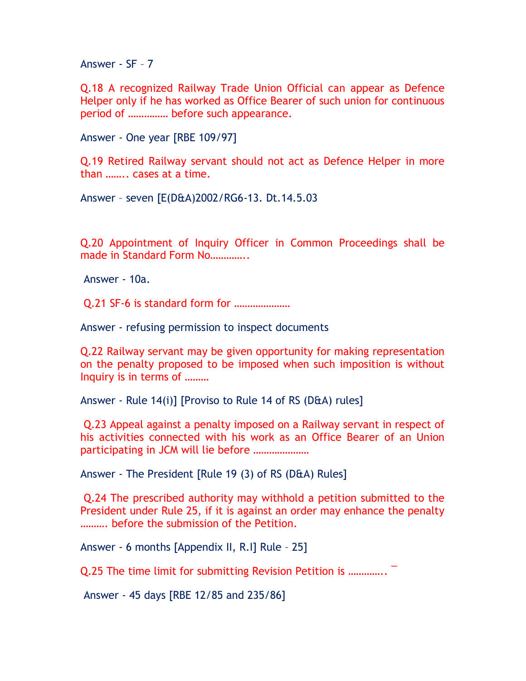Answer - SF – 7

Q.18 A recognized Railway Trade Union Official can appear as Defence Helper only if he has worked as Office Bearer of such union for continuous period of …………… before such appearance.

Answer - One year [RBE 109/97]

Q.19 Retired Railway servant should not act as Defence Helper in more than …….. cases at a time.

Answer – seven [E(D&A)2002/RG6-13. Dt.14.5.03

Q.20 Appointment of Inquiry Officer in Common Proceedings shall be made in Standard Form No.............

Answer - 10a.

Q.21 SF-6 is standard form for …………………

Answer - refusing permission to inspect documents

Q.22 Railway servant may be given opportunity for making representation on the penalty proposed to be imposed when such imposition is without Inquiry is in terms of ………

Answer - Rule 14(i)] [Proviso to Rule 14 of RS (D&A) rules]

 Q.23 Appeal against a penalty imposed on a Railway servant in respect of his activities connected with his work as an Office Bearer of an Union participating in JCM will lie before …………………

Answer - The President [Rule 19 (3) of RS (D&A) Rules]

 Q.24 The prescribed authority may withhold a petition submitted to the President under Rule 25, if it is against an order may enhance the penalty ………. before the submission of the Petition.

Answer - 6 months [Appendix II, R.I] Rule – 25]

Q.25 The time limit for submitting Revision Petition is ………….. ¯

Answer - 45 days [RBE 12/85 and 235/86]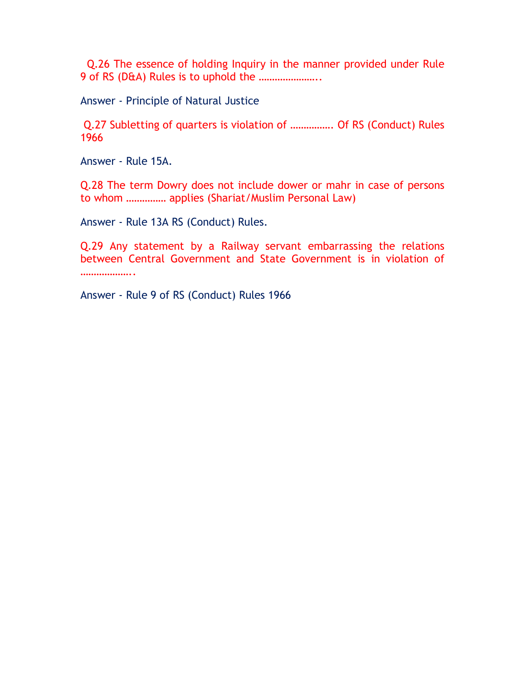Q.26 The essence of holding Inquiry in the manner provided under Rule 9 of RS (D&A) Rules is to uphold the …………………..

Answer - Principle of Natural Justice

 Q.27 Subletting of quarters is violation of ……………. Of RS (Conduct) Rules 1966

Answer - Rule 15A.

Q.28 The term Dowry does not include dower or mahr in case of persons to whom …………… applies (Shariat/Muslim Personal Law)

Answer - Rule 13A RS (Conduct) Rules.

Q.29 Any statement by a Railway servant embarrassing the relations between Central Government and State Government is in violation of ………………..

Answer - Rule 9 of RS (Conduct) Rules 1966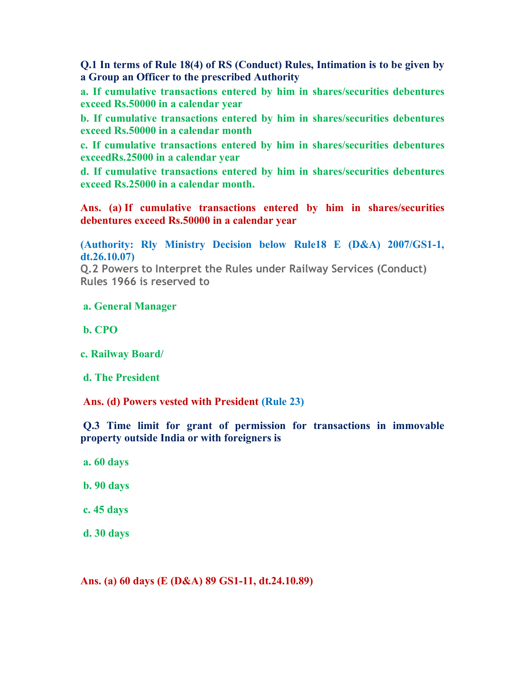Q.1 In terms of Rule 18(4) of RS (Conduct) Rules, Intimation is to be given by a Group an Officer to the prescribed Authority

a. If cumulative transactions entered by him in shares/securities debentures exceed Rs.50000 in a calendar year

b. If cumulative transactions entered by him in shares/securities debentures exceed Rs.50000 in a calendar month

c. If cumulative transactions entered by him in shares/securities debentures exceedRs.25000 in a calendar year

d. If cumulative transactions entered by him in shares/securities debentures exceed Rs.25000 in a calendar month.

Ans. (a) If cumulative transactions entered by him in shares/securities debentures exceed Rs.50000 in a calendar year

(Authority: Rly Ministry Decision below Rule18 E (D&A) 2007/GS1-1, dt.26.10.07)

Q.2 Powers to Interpret the Rules under Railway Services (Conduct) Rules 1966 is reserved to

# a. General Manager

b. CPO

c. Railway Board/

d. The President

Ans. (d) Powers vested with President (Rule 23)

 Q.3 Time limit for grant of permission for transactions in immovable property outside India or with foreigners is

a. 60 days

b. 90 days

c. 45 days

d. 30 days

Ans. (a) 60 days (E (D&A) 89 GS1-11, dt.24.10.89)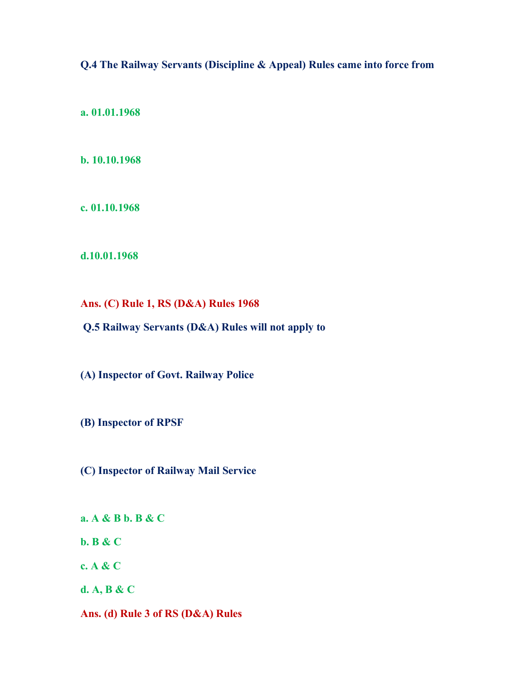Q.4 The Railway Servants (Discipline & Appeal) Rules came into force from

a. 01.01.1968

b. 10.10.1968

c. 01.10.1968

d.10.01.1968

Ans. (C) Rule 1, RS (D&A) Rules 1968

Q.5 Railway Servants (D&A) Rules will not apply to

(A) Inspector of Govt. Railway Police

(B) Inspector of RPSF

(C) Inspector of Railway Mail Service

a. A & B b. B & C

b. B & C

c. A & C

d. A, B & C

Ans. (d) Rule 3 of RS (D&A) Rules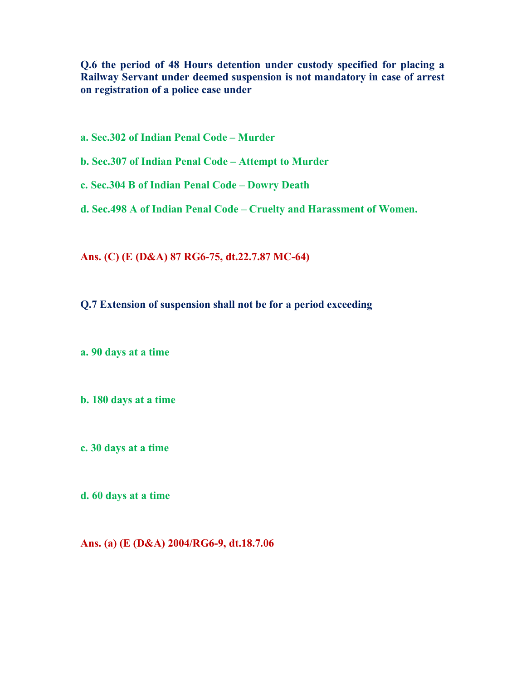Q.6 the period of 48 Hours detention under custody specified for placing a Railway Servant under deemed suspension is not mandatory in case of arrest on registration of a police case under

a. Sec.302 of Indian Penal Code – Murder

b. Sec.307 of Indian Penal Code – Attempt to Murder

c. Sec.304 B of Indian Penal Code – Dowry Death

d. Sec.498 A of Indian Penal Code – Cruelty and Harassment of Women.

Ans. (C) (E (D&A) 87 RG6-75, dt.22.7.87 MC-64)

Q.7 Extension of suspension shall not be for a period exceeding

a. 90 days at a time

b. 180 days at a time

c. 30 days at a time

d. 60 days at a time

Ans. (a) (E (D&A) 2004/RG6-9, dt.18.7.06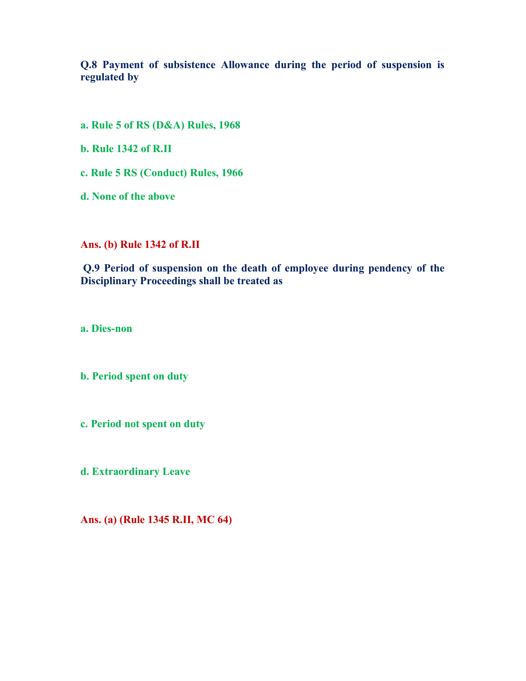Q.8 Payment of subsistence Allowance during the period of suspension is regulated by

a. Rule 5 of RS (D&A) Rules, 1968

b. Rule 1342 of R.II

c. Rule 5 RS (Conduct) Rules, 1966

d. None of the above

Ans. (b) Rule 1342 of R.II

 Q.9 Period of suspension on the death of employee during pendency of the Disciplinary Proceedings shall be treated as

a. Dies-non

b. Period spent on duty

c. Period not spent on duty

d. Extraordinary Leave

Ans. (a) (Rule 1345 R.II, MC 64)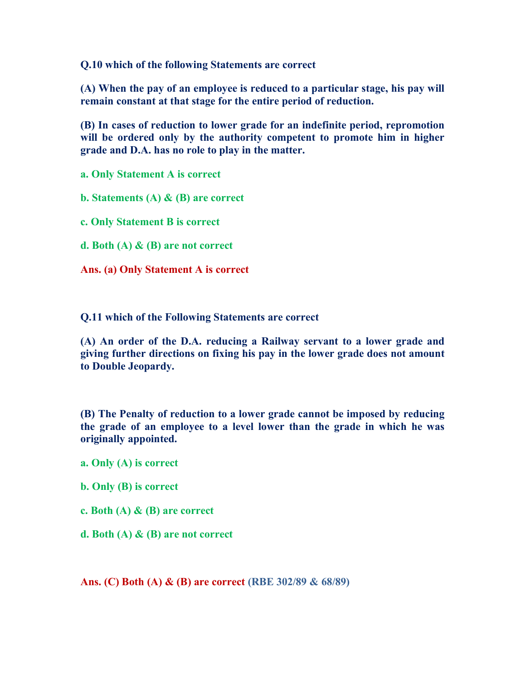Q.10 which of the following Statements are correct

(A) When the pay of an employee is reduced to a particular stage, his pay will remain constant at that stage for the entire period of reduction.

(B) In cases of reduction to lower grade for an indefinite period, repromotion will be ordered only by the authority competent to promote him in higher grade and D.A. has no role to play in the matter.

a. Only Statement A is correct

b. Statements (A) & (B) are correct

c. Only Statement B is correct

d. Both (A) & (B) are not correct

Ans. (a) Only Statement A is correct

Q.11 which of the Following Statements are correct

(A) An order of the D.A. reducing a Railway servant to a lower grade and giving further directions on fixing his pay in the lower grade does not amount to Double Jeopardy.

(B) The Penalty of reduction to a lower grade cannot be imposed by reducing the grade of an employee to a level lower than the grade in which he was originally appointed.

a. Only (A) is correct

b. Only (B) is correct

c. Both  $(A)$  &  $(B)$  are correct

d. Both (A) & (B) are not correct

Ans. (C) Both (A) & (B) are correct (RBE 302/89 & 68/89)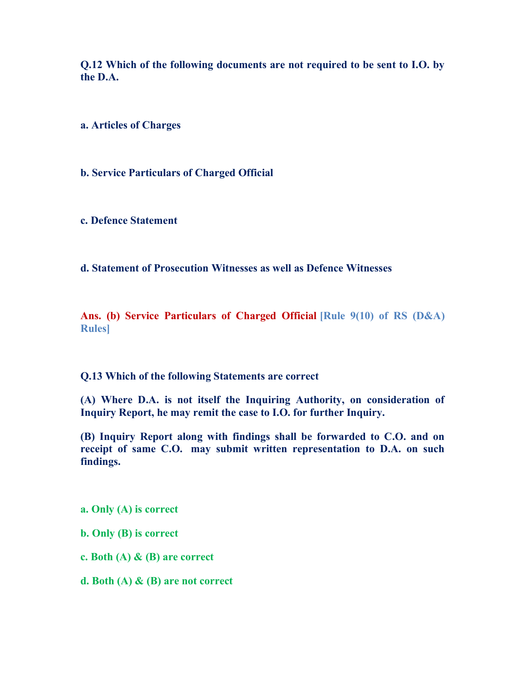Q.12 Which of the following documents are not required to be sent to I.O. by the D.A.

a. Articles of Charges

b. Service Particulars of Charged Official

c. Defence Statement

d. Statement of Prosecution Witnesses as well as Defence Witnesses

Ans. (b) Service Particulars of Charged Official [Rule 9(10) of RS (D&A) Rules]

Q.13 Which of the following Statements are correct

(A) Where D.A. is not itself the Inquiring Authority, on consideration of Inquiry Report, he may remit the case to I.O. for further Inquiry.

(B) Inquiry Report along with findings shall be forwarded to C.O. and on receipt of same C.O. may submit written representation to D.A. on such findings.

a. Only (A) is correct

b. Only (B) is correct

c. Both (A) & (B) are correct

d. Both (A) & (B) are not correct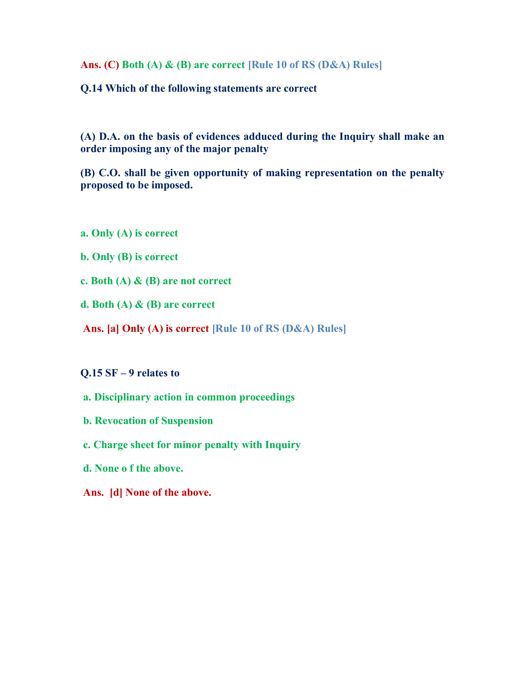Ans. (C) Both (A) & (B) are correct [Rule 10 of RS (D&A) Rules]

Q.14 Which of the following statements are correct

(A) D.A. on the basis of evidences adduced during the Inquiry shall make an order imposing any of the major penalty

(B) C.O. shall be given opportunity of making representation on the penalty proposed to be imposed.

- a. Only (A) is correct
- b. Only (B) is correct
- c. Both (A) & (B) are not correct
- d. Both (A) & (B) are correct
- Ans. [a] Only (A) is correct [Rule 10 of RS (D&A) Rules]

#### Q.15 SF – 9 relates to

- a. Disciplinary action in common proceedings
- b. Revocation of Suspension
- c. Charge sheet for minor penalty with Inquiry
- d. None o f the above.
- Ans. [d] None of the above.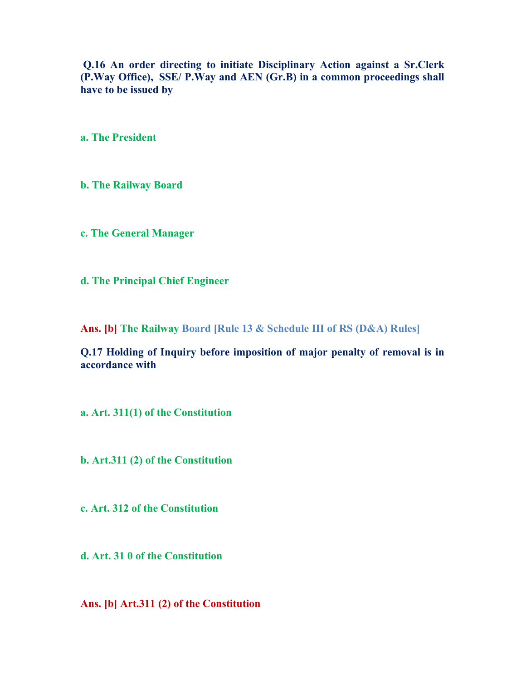Q.16 An order directing to initiate Disciplinary Action against a Sr.Clerk (P.Way Office), SSE/ P.Way and AEN (Gr.B) in a common proceedings shall have to be issued by

a. The President

b. The Railway Board

c. The General Manager

d. The Principal Chief Engineer

Ans. [b] The Railway Board [Rule 13 & Schedule III of RS (D&A) Rules]

Q.17 Holding of Inquiry before imposition of major penalty of removal is in accordance with

a. Art. 311(1) of the Constitution

b. Art.311 (2) of the Constitution

c. Art. 312 of the Constitution

d. Art. 31 0 of the Constitution

Ans. [b] Art.311 (2) of the Constitution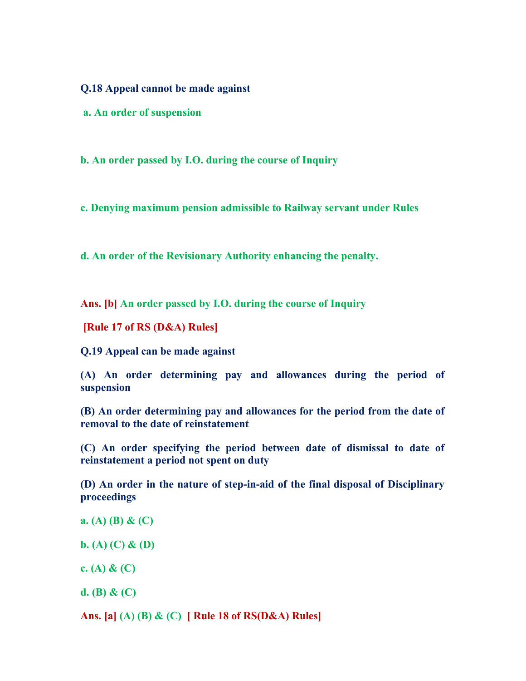Q.18 Appeal cannot be made against

a. An order of suspension

b. An order passed by I.O. during the course of Inquiry

c. Denying maximum pension admissible to Railway servant under Rules

d. An order of the Revisionary Authority enhancing the penalty.

Ans. [b] An order passed by I.O. during the course of Inquiry

[Rule 17 of RS (D&A) Rules]

Q.19 Appeal can be made against

(A) An order determining pay and allowances during the period of suspension

(B) An order determining pay and allowances for the period from the date of removal to the date of reinstatement

(C) An order specifying the period between date of dismissal to date of reinstatement a period not spent on duty

(D) An order in the nature of step-in-aid of the final disposal of Disciplinary proceedings

a. (A) (B) & (C)

b. (A) (C) & (D)

c. (A)  $\&$  (C)

d. (B) &  $(C)$ 

Ans. [a] (A) (B) & (C) [ Rule 18 of RS(D&A) Rules]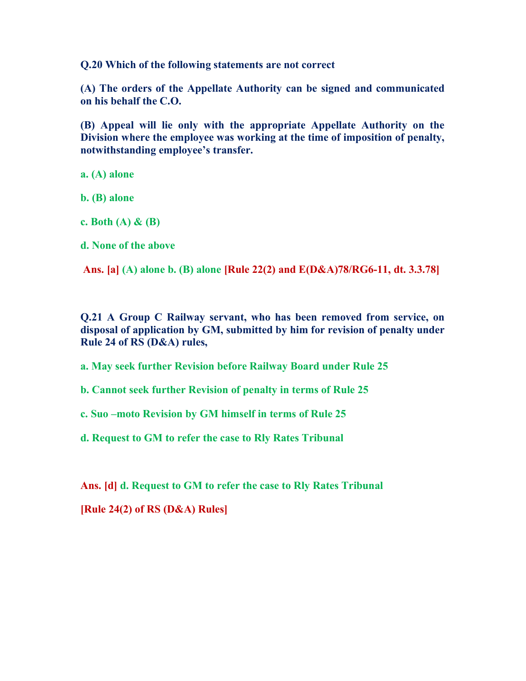Q.20 Which of the following statements are not correct

(A) The orders of the Appellate Authority can be signed and communicated on his behalf the C.O.

(B) Appeal will lie only with the appropriate Appellate Authority on the Division where the employee was working at the time of imposition of penalty, notwithstanding employee's transfer.

a. (A) alone

b. (B) alone

c. Both  $(A)$  &  $(B)$ 

d. None of the above

Ans. [a] (A) alone b. (B) alone [Rule 22(2) and E(D&A)78/RG6-11, dt. 3.3.78]

Q.21 A Group C Railway servant, who has been removed from service, on disposal of application by GM, submitted by him for revision of penalty under Rule 24 of RS (D&A) rules,

a. May seek further Revision before Railway Board under Rule 25

b. Cannot seek further Revision of penalty in terms of Rule 25

c. Suo –moto Revision by GM himself in terms of Rule 25

d. Request to GM to refer the case to Rly Rates Tribunal

Ans. [d] d. Request to GM to refer the case to Rly Rates Tribunal

[Rule 24(2) of RS (D&A) Rules]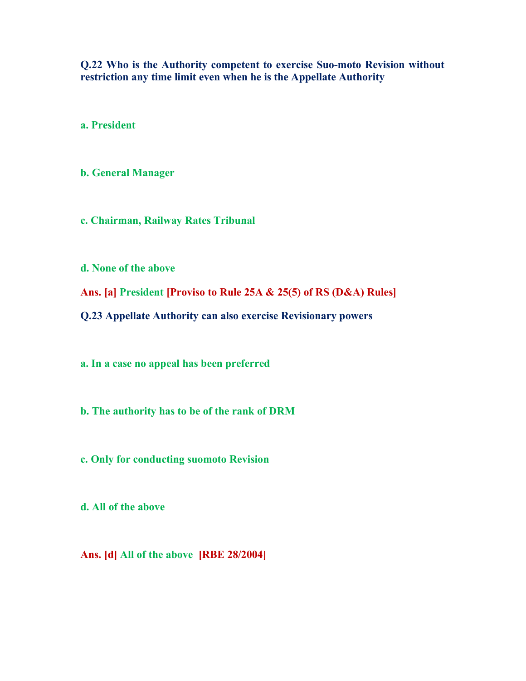Q.22 Who is the Authority competent to exercise Suo-moto Revision without restriction any time limit even when he is the Appellate Authority

a. President

b. General Manager

c. Chairman, Railway Rates Tribunal

d. None of the above

Ans. [a] President [Proviso to Rule 25A & 25(5) of RS (D&A) Rules]

Q.23 Appellate Authority can also exercise Revisionary powers

a. In a case no appeal has been preferred

b. The authority has to be of the rank of DRM

c. Only for conducting suomoto Revision

d. All of the above

Ans. [d] All of the above [RBE 28/2004]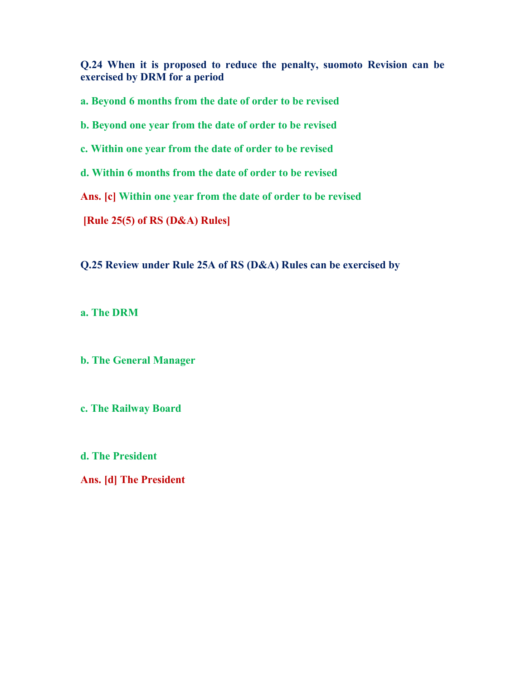Q.24 When it is proposed to reduce the penalty, suomoto Revision can be exercised by DRM for a period

a. Beyond 6 months from the date of order to be revised

b. Beyond one year from the date of order to be revised

c. Within one year from the date of order to be revised

d. Within 6 months from the date of order to be revised

Ans. [c] Within one year from the date of order to be revised

[Rule 25(5) of RS (D&A) Rules]

Q.25 Review under Rule 25A of RS (D&A) Rules can be exercised by

a. The DRM

b. The General Manager

c. The Railway Board

d. The President

Ans. [d] The President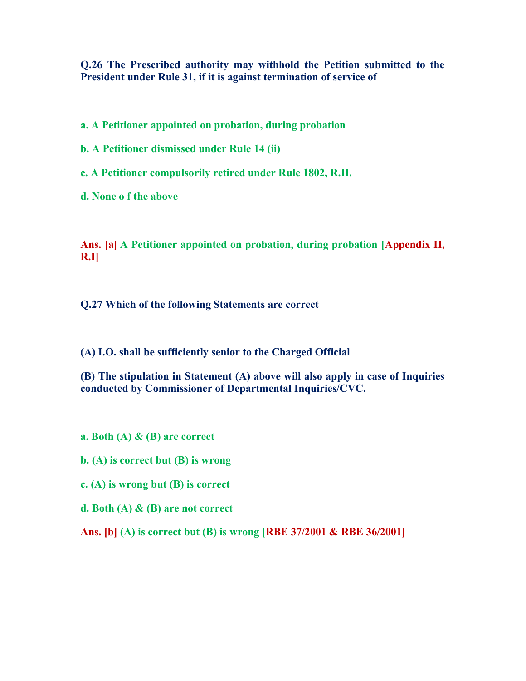Q.26 The Prescribed authority may withhold the Petition submitted to the President under Rule 31, if it is against termination of service of

a. A Petitioner appointed on probation, during probation

b. A Petitioner dismissed under Rule 14 (ii)

c. A Petitioner compulsorily retired under Rule 1802, R.II.

d. None o f the above

Ans. [a] A Petitioner appointed on probation, during probation [Appendix II, R.I]

Q.27 Which of the following Statements are correct

(A) I.O. shall be sufficiently senior to the Charged Official

(B) The stipulation in Statement (A) above will also apply in case of Inquiries conducted by Commissioner of Departmental Inquiries/CVC.

a. Both (A) & (B) are correct

b. (A) is correct but (B) is wrong

c. (A) is wrong but (B) is correct

d. Both (A) & (B) are not correct

Ans. [b] (A) is correct but (B) is wrong [RBE 37/2001 & RBE 36/2001]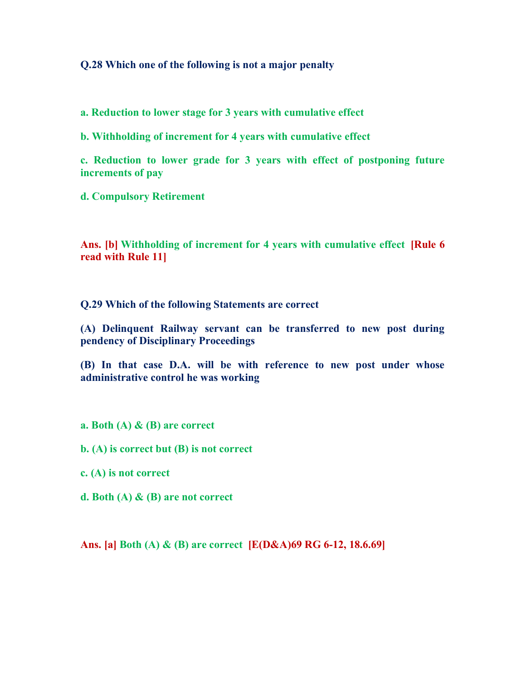#### Q.28 Which one of the following is not a major penalty

a. Reduction to lower stage for 3 years with cumulative effect

b. Withholding of increment for 4 years with cumulative effect

c. Reduction to lower grade for 3 years with effect of postponing future increments of pay

d. Compulsory Retirement

Ans. [b] Withholding of increment for 4 years with cumulative effect [Rule 6 read with Rule 11]

Q.29 Which of the following Statements are correct

(A) Delinquent Railway servant can be transferred to new post during pendency of Disciplinary Proceedings

(B) In that case D.A. will be with reference to new post under whose administrative control he was working

a. Both  $(A)$  &  $(B)$  are correct

b. (A) is correct but (B) is not correct

c. (A) is not correct

d. Both (A) & (B) are not correct

Ans. [a] Both (A) & (B) are correct [E(D&A)69 RG 6-12, 18.6.69]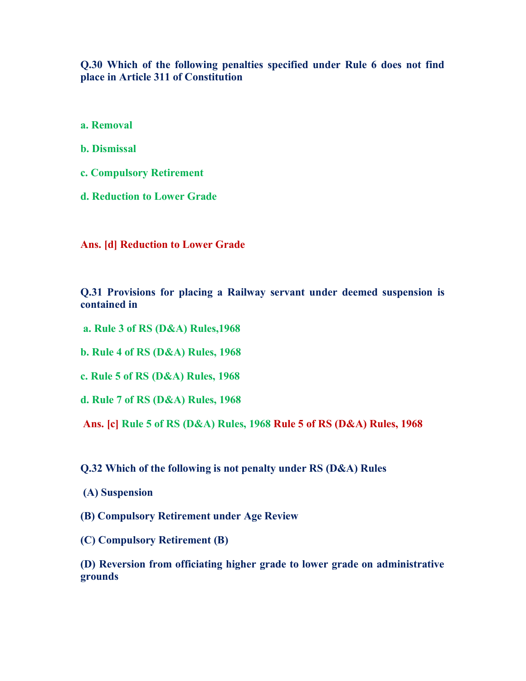### Q.30 Which of the following penalties specified under Rule 6 does not find place in Article 311 of Constitution

a. Removal

b. Dismissal

c. Compulsory Retirement

d. Reduction to Lower Grade

Ans. [d] Reduction to Lower Grade

Q.31 Provisions for placing a Railway servant under deemed suspension is contained in

a. Rule 3 of RS (D&A) Rules,1968

b. Rule 4 of RS (D&A) Rules, 1968

c. Rule 5 of RS (D&A) Rules, 1968

d. Rule 7 of RS (D&A) Rules, 1968

Ans. [c] Rule 5 of RS (D&A) Rules, 1968 Rule 5 of RS (D&A) Rules, 1968

Q.32 Which of the following is not penalty under RS (D&A) Rules

- (A) Suspension
- (B) Compulsory Retirement under Age Review
- (C) Compulsory Retirement (B)

(D) Reversion from officiating higher grade to lower grade on administrative grounds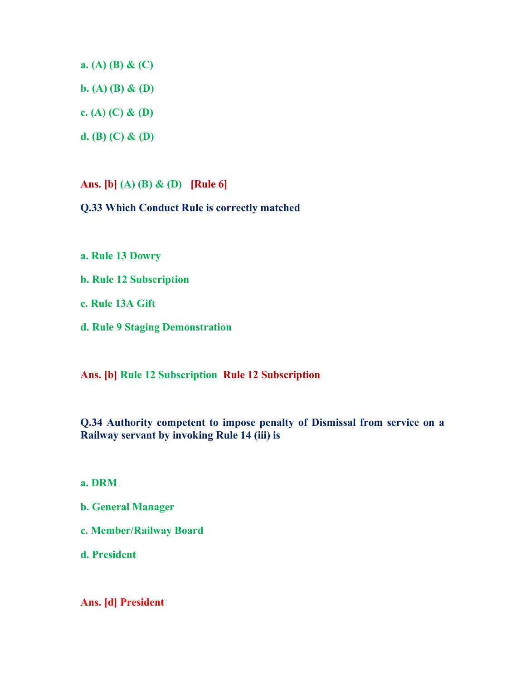a. (A) (B) & (C)

b. (A) (B) & (D)

c. (A) (C) & (D)

d. (B) (C) & (D)

Ans. [b] (A) (B) & (D) [Rule 6]

Q.33 Which Conduct Rule is correctly matched

a. Rule 13 Dowry

b. Rule 12 Subscription

c. Rule 13A Gift

d. Rule 9 Staging Demonstration

Ans. [b] Rule 12 Subscription Rule 12 Subscription

Q.34 Authority competent to impose penalty of Dismissal from service on a Railway servant by invoking Rule 14 (iii) is

a. DRM

- b. General Manager
- c. Member/Railway Board

d. President

Ans. [d] President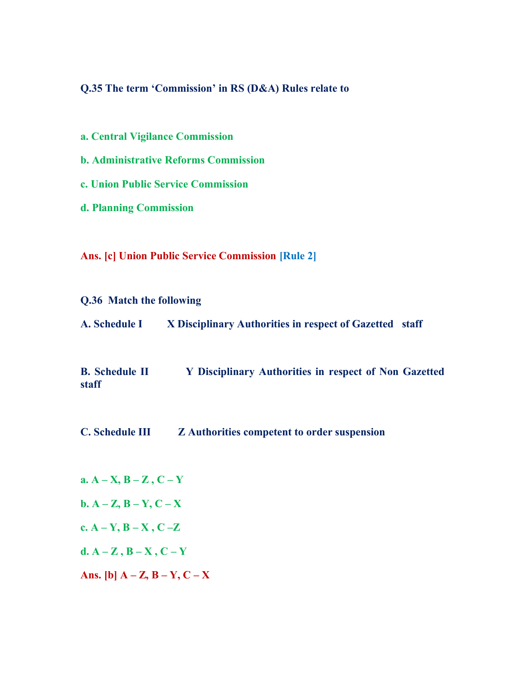# Q.35 The term 'Commission' in RS (D&A) Rules relate to

- a. Central Vigilance Commission
- b. Administrative Reforms Commission
- c. Union Public Service Commission
- d. Planning Commission

Ans. [c] Union Public Service Commission [Rule 2]

Q.36 Match the following

| A. Schedule I | X Disciplinary Authorities in respect of Gazetted staff |  |
|---------------|---------------------------------------------------------|--|
|               |                                                         |  |

B. Schedule II Y Disciplinary Authorities in respect of Non Gazetted staff

- C. Schedule III Z Authorities competent to order suspension
- a.  $A X$ ,  $B Z$ ,  $C Y$ b.  $A - Z$ ,  $B - Y$ ,  $C - X$ c.  $A - Y$ ,  $B - X$ ,  $C - Z$ d.  $A - Z$ ,  $B - X$ ,  $C - Y$ Ans.  $[b]$   $A - Z$ ,  $B - Y$ ,  $C - X$